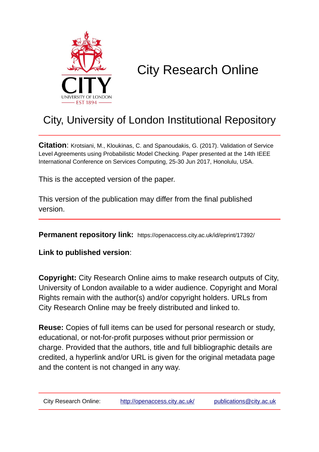

# City Research Online

## City, University of London Institutional Repository

**Citation**: Krotsiani, M., Kloukinas, C. and Spanoudakis, G. (2017). Validation of Service Level Agreements using Probabilistic Model Checking. Paper presented at the 14th IEEE International Conference on Services Computing, 25-30 Jun 2017, Honolulu, USA.

This is the accepted version of the paper.

This version of the publication may differ from the final published version.

**Permanent repository link:** https://openaccess.city.ac.uk/id/eprint/17392/

**Link to published version**:

**Copyright:** City Research Online aims to make research outputs of City, University of London available to a wider audience. Copyright and Moral Rights remain with the author(s) and/or copyright holders. URLs from City Research Online may be freely distributed and linked to.

**Reuse:** Copies of full items can be used for personal research or study, educational, or not-for-profit purposes without prior permission or charge. Provided that the authors, title and full bibliographic details are credited, a hyperlink and/or URL is given for the original metadata page and the content is not changed in any way.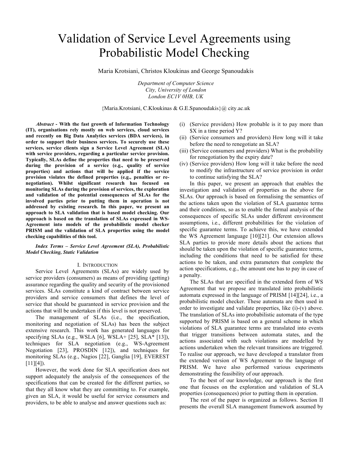## Validation of Service Level Agreements using Probabilistic Model Checking

Maria Krotsiani, Christos Kloukinas and George Spanoudakis

*Department of Computer Science City, University of London London EC1V 0HB, UK*

{Maria.Krotsiani, C.Kloukinas & G.E.Spanoudakis}@ city.ac.uk

*Abstract* **- With the fast growth of Information Technology (IT), organisations rely mostly on web services, cloud services and recently on Big Data Analytics services (BDA services), in order to support their business services. To securely use these services, service clients sign a Service Level Agreement (SLA) with service providers, regarding a particular service provision. Typically, SLAs define the properties that need to be preserved during the provision of a service (e.g., quality of service properties) and actions that will be applied if the service provision violates the defined properties (e.g., penalties or renegotiation). Whilst significant research has focused on monitoring SLAs during the provision of services, the exploration and validation of the potential consequences of SLAs for the involved parties prior to putting them in operation is not addressed by existing research. In this paper, we present an approach to SLA validation that is based model checking. Our approach is based on the translation of SLAs expressed in WS-Agreement into models of the probabilistic model checker PRISM and the validation of SLA properties using the model checking capabilities of this tool.**

*Index Terms – Service Level Agreement (SLA), Probabilistic Model Checking, Static Validation*

#### I. INTRODUCTION

Service Level Agreements (SLAs) are widely used by service providers (consumers) as means of providing (getting) assurance regarding the quality and security of the provisioned services. SLAs constitute a kind of contract between service providers and service consumers that defines the level of service that should be guaranteed in service provision and the actions that will be undertaken if this level is not preserved.

The management of SLAs (i.e., the specification, monitoring and negotiation of SLAs) has been the subject extensive research. This work has generated languages for specifying SLAs (e.g., WSLA [6], WSLA+  $[25]$ , SLA $*$   $[13]$ ), techniques for SLA negotiation (e.g., WS-Agreement Negotiation [23], PROSDIN [12]), and techniques for monitoring SLAs (e.g., Nagios [22], Ganglia [19], EVEREST  $[11][4]$ ).

However, the work done for SLA specification does not support adequately the analysis of the consequences of the specifications that can be created for the different parties, so that they all know what they are committing to. For example, given an SLA, it would be useful for service consumers and providers, to be able to analyse and answer questions such as:

- (i) (Service providers) How probable is it to pay more than \$X in a time period Y?
- (ii) (Service consumers and providers) How long will it take before the need to renegotiate an SLA?
- (iii) (Service consumers and providers) What is the probability for renegotiation by the expiry date?
- (iv) (Service providers) How long will it take before the need to modify the infrastructure of service provision in order to continue satisfying the SLA?

In this paper, we present an approach that enables the investigation and validation of properties as the above for SLAs. Our approach is based on formalising the semantics of the actions taken upon the violation of SLA guarantee terms and their conditions, so as to enable the formal analysis of the consequences of specific SLAs under different environment assumptions, i.e., different probabilities for the violation of specific guarantee terms. To achieve this, we have extended the WS Agreement language [10][21]. Our extension allows SLA parties to provide more details about the actions that should be taken upon the violation of specific guarantee terms, including the conditions that need to be satisfied for these actions to be taken, and extra parameters that complete the action specifications, e.g., the amount one has to pay in case of a penalty.

The SLAs that are specified in the extended form of WS Agreement that we propose are translated into probabilistic automata expressed in the language of PRISM [14][24], i.e., a probabilistic model checker. These automata are then used in order to investigate and validate properties, like (i)-(v) above. The translation of SLAs into probabilistic automata of the type supported by PRISM is based on a general scheme in which violations of SLA guarantee terms are translated into events that trigger transitions between automata states, and the actions associated with such violations are modelled by actions undertaken when the relevant transitions are triggered. To realise our approach, we have developed a translator from the extended version of WS Agreement to the language of PRISM. We have also performed various experiments demonstrating the feasibility of our approach.

To the best of our knowledge, our approach is the first one that focuses on the exploration and validation of SLA properties (consequences) prior to putting them in operation.

The rest of the paper is organized as follows. Section II presents the overall SLA management framework assumed by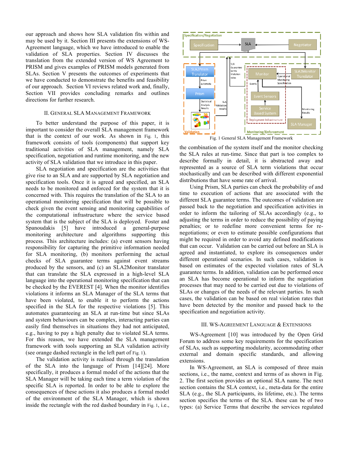our approach and shows how SLA validation fits within and may be used by it. Section III presents the extensions of WS-Agreement language, which we have introduced to enable the validation of SLA properties. Section IV discusses the translation from the extended version of WS Agreement to PRISM and gives examples of PRISM models generated from SLAs. Section V presents the outcomes of experiments that we have conducted to demonstrate the benefits and feasibility of our approach. Section VI reviews related work and, finally, Section VII provides concluding remarks and outlines directions for further research.

## II. GENERAL SLA MANAGEMENT FRAMEWORK

To better understand the purpose of this paper, it is important to consider the overall SLA management framework that is the context of our work. As shown in Fig. 1, this framework consists of tools (components) that support key traditional activities of SLA management, namely SLA specification, negotiation and runtime monitoring, and the new activity of SLA validation that we introduce in this paper.

SLA negotiation and specification are the activities that give rise to an SLA and are supported by SLA negotiation and specification tools. Once it is agreed and specified, an SLA needs to be monitored and enforced for the system that it is concerned with. This requires the translation of the SLA to an operational monitoring specification that will be possible to check given the event sensing and monitoring capabilities of the computational infrastructure where the service based system that is the subject of the SLA is deployed. Foster and Spanoudakis [5] have introduced a general-purpose monitoring architecture and algorithms supporting this process. This architecture includes: (a) event sensors having responsibility for capturing the primitive information needed for SLA monitoring, (b) monitors performing the actual checks of SLA guarantee terms against event streams produced by the sensors, and (c) an SLA2Monitor translator that can translate the SLA expressed in a high-level SLA language into the operational monitoring specification that can be checked by the EVEREST [4]. When the monitor identifies violations it informs an SLA Manager of the SLA terms that have been violated, to enable it to perform the actions specified in the SLA for the respective violations [5]. This automates guaranteeing an SLA at run-time but since SLAs and system behaviours can be complex, interacting parties can easily find themselves in situations they had not anticipated, e.g., having to pay a high penalty due to violated SLA terms. For this reason, we have extended the SLA management framework with tools supporting an SLA validation activity (see orange dashed rectangle in the left part of Fig. 1).

The validation activity is realised through the translation of the SLA into the language of Prism [14][24]. More specifically, it produces a formal model of the actions that the SLA Manager will be taking each time a term violation of the specific SLA is reported. In order to be able to explore the consequences of these actions it also produces a formal model of the environment of the SLA Manager, which is shown inside the rectangle with the red dashed boundary in Fig. 1, i.e.,



the combination of the system itself and the monitor checking the SLA rules at run-time. Since that part is too complex to describe formally in detail, it is abstracted away and represented as a source of SLA term violations that occur stochastically and can be described with different exponential distributions that have some rate of arrival.

Using Prism, SLA parties can check the probability of and time to execution of actions that are associated with the different SLA guarantee terms. The outcomes of validation are passed back to the negotiation and specification activities in order to inform the tailoring of SLAs accordingly (e.g., to adjusting the terms in order to reduce the possibility of paying penalties; or to redefine more convenient terms for renegotiations; or even to estimate possible configurations that might be required in order to avoid any defined modifications that can occur. Validation can be carried out before an SLA is agreed and instantiated, to explore its consequences under different operational scenarios. In such cases, validation is based on estimates of the expected violation rates of SLA guarantee terms. In addition, validation can be performed once an SLA has become operational to inform the negotiation processes that may need to be carried out due to violations of SLAs or changes of the needs of the relevant parties. In such cases, the validation can be based on real violation rates that have been detected by the monitor and passed back to the specification and negotiation activity.

## III. WS-AGREEMENT LANGUAGE & EXTENSIONS

WS-Agreement [10] was introduced by the Open Grid Forum to address some key requirements for the specification of SLAs, such as supporting modularity, accommodating other external and domain specific standards, and allowing extensions.

In WS-Agreement, an SLA is composed of three main sections, i.e., the name, context and terms of as shown in Fig. 2. The first section provides an optional SLA name. The next section contains the SLA context, i.e., meta-data for the entire SLA (e.g., the SLA participants, its lifetime, etc.). The terms section specifies the terms of the SLA. these can be of two types: (a) Service Terms that describe the services regulated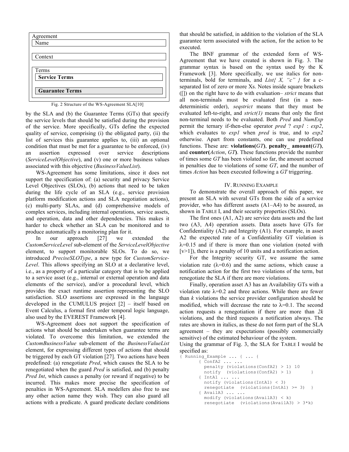

## Fig. 2 Structure of the WS-Agreement SLA[10]

by the SLA and (b) the Guarantee Terms (GTs) that specify the service levels that should be satisfied during the provision of the service. More specifically, GTs define the expected quality of service, comprising (i) the obligated party, (ii) the list of services this guarantee applies to, (iii) an optional condition that must be met for a guarantee to be enforced, (iv) an assertion expressed over service descriptions (*ServiceLevelObjective*), and (v) one or more business values associated with this objective (*BusinessValueList*).

WS-Agreement has some limitations, since it does not support the specification of: (a) security and privacy Service Level Objectives (SLOs), (b) actions that need to be taken during the life cycle of an SLA (e.g., service provision platform modification actions and SLA negotiation actions), (c) multi-party SLAs, and (d) comprehensive models of complex services, including internal operations, service assets, and operation, data and other dependencies. This makes it harder to check whether an SLA can be monitored and to produce automatically a monitoring plan for it.

In our approach [27] we extended the *CustomServiceLevel* sub-element of the *ServiceLevelObjective* element, to support monitorable SLOs. To do so, we introduced *PreciseSLOType*, a new type for *CustomService-Level*. This allows specifying an SLO at a declarative level, i.e., as a property of a particular category that is to be applied to a service asset (e.g., internal or external operation and data elements of the service), and/or a procedural level, which provides the exact runtime assertion representing the SLO satisfaction. SLO assertions are expressed in the language developed in the CUMULUS project [2] – itself based on Event Calculus, a formal first order temporal logic language, also used by the EVEREST Framework [4].

WS-Agreement does not support the specification of actions what should be undertaken when guarantee terms are violated. To overcome this limitation, we extended the *CustomBusinessValue* sub-element of the *BusinessValueList* element, for expressing different types of actions that should be triggered by each GT violation [27]. Two actions have been predefined: (a) renegotiate *Pred*, which causes the SLA to be renegotiated when the guard *Pred* is satisfied, and (b) penalty *Pred Int*, which causes a penalty (or reward if negative) to be incurred. This makes more precise the specification of penalties in WS-Agreement. SLA modellers also free to use any other action name they wish. They can also guard all actions with a predicate. A guard predicate declare conditions

that should be satisfied, in addition to the violation of the SLA guarantee term associated with the action, for the action to be executed.

The BNF grammar of the extended form of WS-Agreement that we have created is shown in Fig. 3. The grammar syntax is based on the syntax used by the K Framework [3]. More specifically, we use italics for nonterminals, bold for terminals, and *List{ X, "c" }* for a cseparated list of zero or more Xs. Notes inside square brackets ([]) on the right have to do with evaluation– *strict* means that all non-terminals must be evaluated first (in a nondeterministic order), *seqstrict* means that they must be evaluated left-to-right, and *strict(1)* means that only the first non-terminal needs to be evaluated. Both *Pred* and *NumExp* permit the ternary if-then-else operator *pred* ? *exp1* : *exp2*, which evaluates to *exp1* when *pred* is true, and to *exp2* otherwise. Apart from constants, one can use predefined functions. These are: **violations**( $GT$ ), **penalty amount**( $GT$ ), and **counter(***Action*, *GT***)**. These functions provide the number of times some *GT* has been violated so far, the amount accrued in penalties due to violations of some *GT*, and the number of times *Action* has been executed following a *GT* triggering.

## IV. RUNNING EXAMPLE

To demonstrate the overall approach of this paper, we present an SLA with several GTs from the side of a service provider, who has different assets (A1–A4) to be assured, as shown in TABLE I, and their security properties (SLOs).

The first ones (A1, A2) are service data assets and the last two (A3, A4) operation assets. Data assets have GTs for Confidentiality (A2) and Integrity (A1). For example, in asset A2 the expected rate of a Confidentiality GT violation is  $\lambda$ =0.15 and if there is more than one violation (noted with [v>1]), there is a penalty of 10 units and a notification action.

For the Integrity security GT, we assume the same violation rate  $(\lambda=0.6)$  and the same actions, which cause a notification action for the first two violations of the term, but renegotiate the SLA if there are more violations.

Finally, operation asset A3 has an Availability GTs with a violation rate  $\lambda$ =0.2 and three actions. While there are fewer than *k* violations the service provider configuration should be modified, which will decrease the rate to  $\lambda$ =0.1. The second action requests a renegotiation if there are more than *2k*  violations, and the third requests a notification always. The rates are shown in italics, as these do not form part of the SLA agreement – they are expectations (possibly commercially sensitive) of the estimated behaviour of the system.

Using the grammar of Fig. 3, the SLA for TABLE I would be specified as:

```
{ Running_Example ... { ... {
       { ConfA2 ... ...
         penalty (violations(ConfA2) > 1) 10
        notify (violations(ConfA2) > 1) }
        { IntA1 ... ...
         notify (violations(IntA1) < 3)
         renegotiate (violations(IntA1) >= 3) }
        { AvailA3 ... ...
         modify (violations(AvailA3) < k)
         renegotiate (violations(AvailA3) > 3*k)
```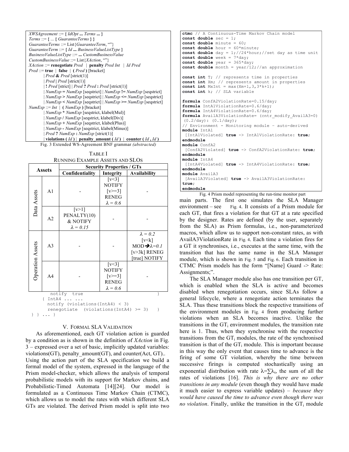| $XWSAgreement ::= \{ IdOpt  Terms  \}$                                                      |  |  |  |  |
|---------------------------------------------------------------------------------------------|--|--|--|--|
| $Terms ::= \{  \}$ Guarantee Terms $\}$                                                     |  |  |  |  |
| $Guarantee Terms ::= List{GuaranteeTerm, ""}$                                               |  |  |  |  |
| GuaranteeTerm ::= { $Id$ Business ValueListType }                                           |  |  |  |  |
| <i>BusinessValueListType</i> $\therefore$ $\ldots$ <i>CustomBusinessValue</i>               |  |  |  |  |
| CustomBusinessValue ::= List{XAction, ""}                                                   |  |  |  |  |
| $XAction ::= \text{renegative Pred} \mid \text{penalty Pred} \mid Id Pred$                  |  |  |  |  |
| <i>Pred</i> ::= <b>true</b>   <b>false</b>   ( <i>Pred</i> ) [bracket]                      |  |  |  |  |
| $ Pred & Pred$ [strict(1)]                                                                  |  |  |  |  |
| $ Pred $ Pred [strict(1)]                                                                   |  |  |  |  |
| $ !$ Pred [strict]   Pred ? Pred : Pred [strict(1)]                                         |  |  |  |  |
| $\vert$ NumExp = NumExp [seqstrict] $\vert$ NumExp != NumExp [seqstrict]                    |  |  |  |  |
| $NumExp$ > $NumExp$ [seqstrict]   $NumExp \leq NumExp$ [seqstrict]                          |  |  |  |  |
| $\vert$ NumExp < NumExp [seqstrict] $\vert$ NumExp > = NumExp [seqstrict]                   |  |  |  |  |
| $NumExp ::= Int \mid (NumExp)$ [bracket]                                                    |  |  |  |  |
| <i>NumExp * NumExp</i> [seqstrict, klabel(Mul)]                                             |  |  |  |  |
| <i>NumExp   NumExp</i> [seqstrict, klabel(Div)]                                             |  |  |  |  |
| $NumExp + NumExp$ [seqstrict, klabel(Plus)]                                                 |  |  |  |  |
| NumExp - NumExp [seqstrict, klabel(Minus)]                                                  |  |  |  |  |
| <i>Pred</i> ? <i>NumExp</i> : <i>NumExp</i> [strict(1)]                                     |  |  |  |  |
| violations ( <i>Id</i> )   penalty amount ( <i>Id</i> )   counter ( <i>Id</i> , <i>Id</i> ) |  |  |  |  |
| Fig. 3 Extended WS-Agreement BNF grammar (abstracted)                                       |  |  |  |  |

TABLE I

| <b>Assets</b>                                                                                                                                             |                | <b>Security Properties / GTs</b>                                |                                                                             |                                                                                                |  |
|-----------------------------------------------------------------------------------------------------------------------------------------------------------|----------------|-----------------------------------------------------------------|-----------------------------------------------------------------------------|------------------------------------------------------------------------------------------------|--|
|                                                                                                                                                           |                | Confidentiality                                                 | Integrity                                                                   | <b>Availability</b>                                                                            |  |
| Data Assets                                                                                                                                               | A <sub>1</sub> |                                                                 | [v<3]<br><b>NOTIFY</b><br>$\sqrt{v} = 3$<br><b>RENEG</b><br>$\lambda = 0.6$ |                                                                                                |  |
|                                                                                                                                                           | A2             | [v>1]<br>PENALTY(10)<br><b>&amp; NOTIFY</b><br>$\lambda = 0.15$ |                                                                             |                                                                                                |  |
| <b>Operation Assets</b>                                                                                                                                   | A <sub>3</sub> |                                                                 |                                                                             | $\lambda = 0.2$<br>[v < k]<br>$MOD \rightarrow \lambda=0.1$<br>$[v>3k]$ RENEG<br>[true] NOTIFY |  |
|                                                                                                                                                           | A <sub>4</sub> |                                                                 | [v<3]<br><b>NOTIFY</b><br>$[v>=3]$<br><b>RENEG</b><br>$\lambda = 0.6$       |                                                                                                |  |
| notify true<br>IntA4<br>€<br>notify (violations (IntA4) $\langle$ 3)<br>renegotiate (violations (IntA4) $>=$ 3)<br>ł<br>Y<br>$\,$ $\,$ $\,$<br>$\ldots$ } |                |                                                                 |                                                                             |                                                                                                |  |

## RUNNING EXAMPLE ASSETS AND SLOS

## V. FORMAL SLA VALIDATION

As aforementioned, each GT violation action is guarded by a condition as is shown in the definition of *XAction* in Fig. 3 – expressed over a set of basic, implicitly updated variables: violations( $GT$ ), penalty amount( $GT$ ), and counter( $Act$ ,  $GT$ )... Using the action part of the SLA specification we build a formal model of the system, expressed in the language of the Prism model-checker, which allows the analysis of temporal probabilistic models with its support for Markov chains, and Probabilistic-Timed Automata [14][24]. Our model is formulated as a Continuous Time Markov Chain (CTMC), which allows us to model the rates with which different SLA GTs are violated. The derived Prism model is split into two

```
ctmc // A Continuous-Time Markov Chain model
const double sec = 1;
const double minute = 60;
const double hour = 60*minute;
const double day = 1;//24*hour;//set day as time unit
const double week = 7*day;
const double year = 365 * day;
const double month = year/12;//an approximation
const int T; // represents time in properties
const int Xm; // represents amount in properties
const int MxInt = max(Xm+1, 3, 3*k+1);const int k; // SLA variable
formula ConfA2ViolationRate=0.15/day;
formula IntA1ViolationRate=0.6/day;
formula IntA4ViolationRate=0.6/day;
formula AvailA3ViolationRate= (cntr_modify_AvailA3=0) 
(0.2/day): (0.1/day);// Environment - Monitoring module – auto-derived
module IntA1
 [IntA1Violated] true -> IntA1ViolationRate: true;
endmodule
module ConfA2
 [ConfA2Violated] true -> ConfA2ViolationRate: true;
endmodule
module IntA4
[IntA4Violated] true -> IntA4ViolationRate: true;
endmodule
module AvailA3
[AvailA3Violated] true -> AvailA3ViolationRate: 
true;
endmodule
```
main parts. The first one simulates the SLA Manager environment – see Fig. 4. It consists of a Prism module for each GT, that fires a violation for that GT at a rate specified by the designer. Rates are defined (by the user, separately from the SLA) as Prism formulas, i.e., non-parameterized macros, which allow us to support non-constant rates, as with AvailA3ViolationRate in Fig. 4. Each time a violation fires for a GT it synchronises, i.e., executes at the same time, with the transition that has the same name in the SLA Manager module, which is shown in Fig. 5 and Fig. 6. Each transition in CTMC Prism models has the form "[Name] Guard -> Rate: Assignments;". Fig. 4 Prism model representing the run-time monitor part

The SLA Manager module also has one transition per GT, which is enabled when the SLA is active and becomes disabled when renegotiation occurs, since SLAs follow a general lifecycle, where a renegotiate action terminates the SLA. Thus these transitions block the respective transitions of the environment modules in Fig. 4 from producing further violations when an SLA becomes inactive. Unlike the transitions in the  $GT_i$  environment modules, the transition rate here is 1. Thus, when they synchronise with the respective transitions from the  $GT_i$  modules, the rate of the synchronised transition is that of the  $GT_i$  module. This is important because in this way the only event that causes time to advance is the firing of some GT violation, whereby the time between successive firings is computed stochastically using an exponential distribution with rate  $\lambda = \sum \lambda_i$ , the sum of all the rates of violations [16]. *This is why there are no other transitions in any module* (even though they would have made it much easier to express variable updates) – *because they would have caused the time to advance even though there was no violation*. Finally, unlike the transition in the  $GT_i$  module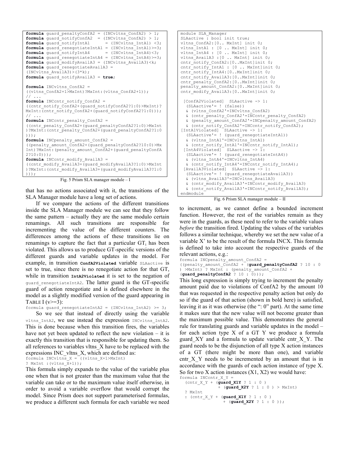```
formula guard penaltyConfA2 = (INCvltns ConfA2) > 1;
formula guard_notifyConfA2 = (INCvltns_ConfA2) > 1;<br>formula guard_notifyIntA1 = (INCvltns_IntA1) <3;
formula guard notifyIntA1
formula guard<sup>-</sup>renegotiateIntA1 = (INCvltns<sup>-</sup>IntA1)>=3;<br>formula guard_notifyIntA4 = (INCvltns_IntA4)<3;
formula guard_notifyIntA4

formula guard_modifyAvailA3 = (INCvltns_AvailA3)<k;
formula guard renegotiateAvailA3 =
(INCvltns_AvailA3)>(3*k);formula guard_notifyAvailA3 = true;
formula INCvltns_ConfA2 = 
((vltns_ConfA2+1>MxInt)?MxInt:(vltns_ConfA2+1));
// ...
formula INCcntr notify ConfA2 =
((cntr_notify_ConfA2+(guard_notifyConfA2?1:0)>MxInt)?
MxInt:(cntr_notify_ConfA2+(guard_notifyConfA2?1:0)));
// ...
formula INCcntr penalty ConfA2 =
((cntr_penalty_ConfA2+(guard_penaltyConfA2?1:0)>MxInt
)?MxInt:(cntr_penalty_ConfA2+(guard_penaltyConfA2?1:0
)));
formula INCpenalty amount_ConfA2 =
((penalty_amount_ConfA2+(guard_penaltyConfA2?10:0)>Mx
Int)?MxInt:(penalty_amount_ConfA2+(guard_penaltyConfA
2?10:0)));
formula INCcntr modify AvailA3 =
((cntr_modify_AvailA3+(quard_modifyAvailA3?1:0)>MxInt
)?MxInt:(cntr_modify_AvailA3+(guard_modifyAvailA3?1:0
)));
```
Fig. 5 Prism SLA manager module – I

that has no actions associated with it, the transitions of the SLA Manager module have a long set of actions.

If we compare the actions of the different transitions inside the SLA Manager module we can see that they follow the same pattern – actually they are the same modulo certain renamings. All such transitions are responsible for incrementing the value of the different counters. The differences among the actions of these transitions lie on renamings to capture the fact that a particular  $GT_i$  has been violated. This allows us to produce GT-specific versions of the different guards and variable updates in the model. For example, in transition **ConfA2Violated** variable SLAactive is set to true, since there is no renegotiate action for that GT, while in transition **IntA2Violated** it is set to the negation of guard renegotiateIntA2. The latter guard is the GT-specific guard of action renegotiate and is defined elsewhere in the model as a slightly modified version of the guard appearing in TABLE  $\left[\right.$  (v $\ge$ =3):

formula guard\_renegotiateIntA2 =  $(INCultns_IntA2)$  >= 3;

So we see that instead of directly using the variable vltns IntA2, we use instead the expression INCvltns IntA2. This is done because when this transition fires, the variables have not yet been updated to reflect the new violation – it is exactly this transition that is responsible for updating them. So all references to variables vltns\_X have to be replaced with the expressions INC\_vltns\_X, which are defined as:

formula INCvltns\_X =  $((vltns_X+1)$ -MxInt)

?  $MxInt : (vltns_X+1));$ 

This formula simply expands to the value of the variable plus one when that is not greater than the maximum value that the variable can take or to the maximum value itself otherwise, in order to avoid a variable overflow that would corrupt the model. Since Prism does not support parameterised formulas, we produce a different such formula for each variable we need

```
module SLA_Manager
SLAactive : bool init true;
vltns_ConfA2:[0.. MxInt] init 0;
vltns<sup>-</sup>IntA1 : [0 .. MxInt] init 0;
vltns_IntA4 : [0 .. MxInt] init 0;
vltns_AvailA3 :[0 .. MxInt] init 0;
cntr_notify_ConfA2:[0..MxInt]init 0;
cntr_notify_IntA1 : [0 .. MxInt]init 0;
cntr_notify_IntA4:[0..MxInt]init 0;
cntr<sup>notify</sub><sup>-</sup>AvailA3: [0..MxInt]init 0;</sup>
cntr_penalty_ConfA2:[0..MxInt]init 0;
penalty_amount_ConfA2:[0..MxInt]init 0;
cntr_modify_AvailA3:[0..MxInt]init 0;
 [ConfA2Violated] SLAactive -> 1:
 (SLAactive'= ! (false))
 & (vltns_ConfA2'=INCvltns_ConfA2)
   & (cntr_penalty_ConfA2'=INCcntr_penalty_ConfA2)
   & (penalty_amount_ConfA2'=INCpenalty_amount_ConfA2)
   & (cntr_notify_ConfA2'=INCcntr_notify_ConfA2); 
[IntA1Violated] SLAactive -> 1:
  (SLAactive'= ! (guard renegotiateIntA1))
  \& (vltns_IntA1'=INCvltns IntA1)
 & (cntr_notify_IntA1'=INCcntr_notify_IntA1);
 [IntA4Violated] SLAactive -> 1:
 (SLAactive'= ! (guard_renegotiateIntA4))
 & (vltns_IntA4'=INCvltns_IntA4)
  & (cntr_notify_IntA4'=INCcntr_notify_IntA4);
 [AvailA3\overline{V}iolated] SLAactive - 1:
   (SLAactive'= ! (guard_renegotiateAvailA3))
   & (vltns_AvailA3'=INCvltns_AvailA3)
   & (cntr_modify_AvailA3'=INCcntr_modify_AvailA3)
   & (cntr_notify_AvailA3'=INCcntr_notify_AvailA3);
endmodule
```
Fig. 6 Prism SLA manager module – II

to increment, as we cannot define a bounded increment function. However, the rest of the variables remain as they were in the guards, as these need to refer to the variable values *before* the transition fired. Updating the values of the variables follows a similar technique, whereby we set the new value of a variable X' to be the result of the formula INCX. This formula is defined to take into account the respective guards of the relevant actions, e.g.:

formula INCpenalty\_amount\_ConfA2 = ((penalty\_amount\_ConfA2 + (**guard\_penaltyConfA2** ? 10 : 0 )  $>$ MxInt) $\frac{1}{2}$  MxInt : (penalty\_amount\_ConfA2 + (**guard** penaltyConfA2 ? 10 :  $\overline{0}$ )));

This long expression is simply trying to increment the penalty amount paid due to violations of ConfA2 by the amount 10 that was requested in the respective penalty action but only do so if the guard of that action (shown in bold here) is satisfied, leaving it as it was otherwise (the ": 0" part). At the same time it makes sure that the new value will not become greater than the maximum possible value. This demonstrates the general rule for translating guards and variable updates in the model – for each action type X of a GT Y we produce a formula guard  $XY$  and a formula to update variable cntr  $X$   $Y$ . The guard needs to be the disjunction of all type X action instances of a GT (there might be more than one), and variable cntr  $X$   $Y$  needs to be incremented by an amount that is in accordance with the guards of each action instance of type X. So for two X action instances  $(X1, X2)$  we would have:

```
formula INCcntr_X_Y =
  (\text{cntr}_X Y + (\overline{\text{guard } X1Y} ? 1 : 0 ) + (guard_X2Y ? 1 : 0 ) > MxInt)
   ? MxInt
  : (\text{cntr}_X Y + (\text{guard } X1Y ? 1 : 0) + (guard_X2Y ? 1 : 0 ));
```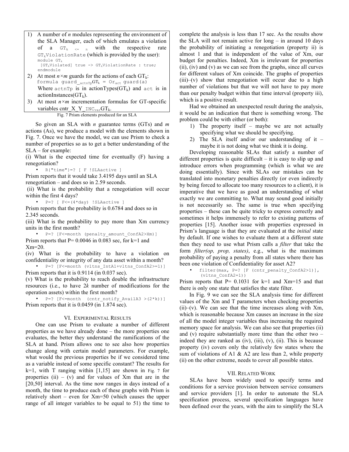- 1) A number of *n* modules representing the environment of the SLA Manager, each of which emulates a violation of a  $GT_k \leq r$  with the respective rate  $GT_k$ ViolationRate (which is provided by the user): module GTk  $[GT_kViolated]$  true ->  $GT_kViolationRate$  : true; endmodule
- 2) At most  $n \times m$  guards for the actions of each  $GT_k$ : formula guard  $_{\text{actnTp}}GT_k = or_{\text{act}}$  guard(a) Where  $\arctan\pi p$  is in actionTypes( $GT_k$ ) and  $\arctan\pi p$  is in actionInstances( $GT_k$ ).
- 3) At most *n×m* incrementation formulas for GT-specific variables cntr\_X\_Y\_INC<sub>var</sub>GT<sub>k</sub>.

Fig. 7 Prism elements produced for an SLA

So given an SLA with *n* guarantee terms (GTs) and *m* actions (As), we produce a model with the elements shown in Fig. 7. Once we have the model, we can use Prism to check a number of properties so as to get a better understanding of the SLA – for example:

(i) What is the expected time for eventually (F) having a renegotiation?

• R{"time"}=? [ F !SLAactive ]

Prism reports that it would take 3.4195 days until an SLA renegotiation – and does so in 2.59 seconds.

(ii) What is the probability that a renegotiation will occur within the first 4 days?

•  $P=?$  [  $F \leq (4 * day)$  !SLAactive ]

Prism reports that the probability is 0.6784 and does so in 2.345 seconds.

(iii) What is the probability to pay more than Xm currency units in the first month?

• P=? [F<=month (penalty\_amount ConfA2>Xm)] Prism reports that  $P = 0.0046$  in 0.083 sec, for k=1 and Xm=20.

(iv) What is the probability to have a violation on confidentiality or integrity of any data asset within a month?

• P=? [F<=month (vltns\_IntA1+vltns\_ConfA2>=1)] Prism reports that it is 0.9114 (in 0.037 sec).

(v) What is the probability to reach double the infrastructure resources (i.e., to have 2*k* number of modifications for the operation assets) within the first month?

• P=? [F<=month (cntr\_notify\_AvailA3 >(2\*k))] Prism reports that it is 0.0459 (in 1.874 sec).

#### VI. EXPERIMENTAL RESULTS

One can use Prism to evaluate a number of different properties as we have already done – the more properties one evaluates, the better they understand the ramifications of the SLA at hand. Prism allows one to see also how properties change along with certain model parameters. For example, what would the previous properties be if we considered time as a variable instead of some specific constant? The results for  $k=1$ , with T ranging within [1,15] are shown in Fig. 7 for properties  $(ii) - (v)$  and for values of Xm that are in the [20,50] interval. As the time now ranges in days instead of a month, the time to produce each of these graphs with Prism is relatively short – even for Xm=50 (which causes the upper range of all integer variables to be equal to 51) the time to

complete the analysis is less than 17 sec. As the results show the SLA will not remain active for long – in around 10 days the probability of initiating a renegotiation (property ii) is almost 1 and that is independent of the value of Xm, our budget for penalties. Indeed, Xm is irrelevant for properties (ii), (iv) and (v) as we can see from the graphs, since all curves for different values of Xm coincide. The graphs of properties (iii)–(v) show that renegotiation will occur due to a high number of violations but that we will not have to pay more than our penalty budget within that time interval (property iii), which is a positive result.

Had we obtained an unexpected result during the analysis, it would be an indication that there is something wrong. The problem could be with either (or both):

- 1) The property itself maybe we are not actually specifying what we should be specifying.
- 2) The SLA itself and/or our understanding of it maybe it is not doing what we think it is doing.

Developing reasonable SLAs that satisfy a number of different properties is quite difficult – it is easy to slip up and introduce errors when programming (which is what we are doing essentially). Since with SLAs our mistakes can be translated into monetary penalties directly (or even indirectly by being forced to allocate too many resources to a client), it is imperative that we have as good an understanding of what exactly we are committing to. What may sound good initially is not necessarily so. The same is true when specifying properties – these can be quite tricky to express correctly and sometimes it helps immensely to refer to existing patterns of properties [15]. Another issue with properties expressed in Prism's language is that they are evaluated at the *initial* state by default. If one wishes to evaluate them at a different state then they need to use what Prism calls a *filter* that take the form *filter(op, prop, states)*, e.g., what is the maximum probability of paying a penalty from all states where there has been one violation of Confidentiality for asset A2?

filter(max, P=? [F (cntr penalty ConfA2>1)], (vltns\_ConfA2=1))

Prism reports that  $P = 0.1031$  for  $k=1$  and  $Xm=15$  and that there is only one state that satisfies the state filter.

In Fig. 9 we can see the SLA analysis time for different values of the Xm and T parameters when checking properties  $(ii)$ – $(v)$ . We can see that the time increases along with Xm, which is reasonable because Xm causes an increase in the size of all the model integer variables thus increasing the required memory space for analysis. We can also see that properties (ii) and (v) require substantially more time than the other two  $$ indeed they are ranked as  $(iv)$ ,  $(iii)$ ,  $(v)$ ,  $(ii)$ . This is because property (iv) covers only the relatively few states where the sum of violations of A1  $\&$  A2 are less than 2, while property (ii) on the other extreme, needs to cover all possible states.

## VII. RELATED WORK

SLAs have been widely used to specify terms and conditions for a service provision between service consumers and service providers [1]. In order to automate the SLA specification process, several specification languages have been defined over the years, with the aim to simplify the SLA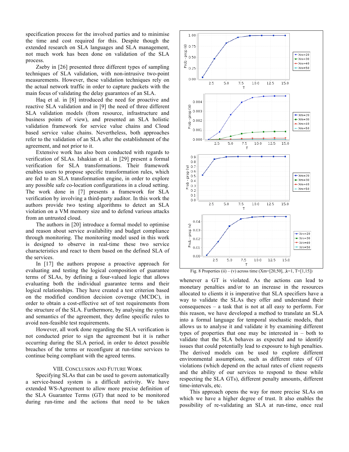specification process for the involved parties and to minimise the time and cost required for this. Despite though the extended research on SLA languages and SLA management, not much work has been done on validation of the SLA process.

Zseby in [26] presented three different types of sampling techniques of SLA validation, with non-intrusive two-point measurements. However, these validation techniques rely on the actual network traffic in order to capture packets with the main focus of validating the delay guarantees of an SLA.

Haq et al. in [8] introduced the need for proactive and reactive SLA validation and in [9] the need of three different SLA validation models (from resource, infrastructure and business points of view), and presented an SLA holistic validation framework for service value chains and Cloud based service value chains. Nevertheless, both approaches refer to the validation of an SLA after the establishment of the agreement, and not prior to it.

Extensive work has also been conducted with regards to verification of SLAs. Ishakian et al. in [29] present a formal verification for SLA transformations. Their framework enables users to propose specific transformation rules, which are fed to an SLA transformation engine, in order to explore any possible safe co-location configurations in a cloud setting. The work done in [7] presents a framework for SLA verification by involving a third-party auditor. In this work the authors provide two testing algorithms to detect an SLA violation on a VM memory size and to defend various attacks from an untrusted cloud.

The authors in [20] introduce a formal model to optimise and reason about service availability and budget compliance through monitoring. The monitoring model used in this work is designed to observe in real-time these two service characteristics and react to them based on the defined SLA of the services.

In [17] the authors propose a proactive approach for evaluating and testing the logical composition of guarantee terms of SLAs, by defining a four-valued logic that allows evaluating both the individual guarantee terms and their logical relationships. They have created a test criterion based on the modified condition decision coverage (MCDC), in order to obtain a cost-effective set of test requirements from the structure of the SLA. Furthermore, by analysing the syntax and semantics of the agreement, they define specific rules to avoid non-feasible test requirements.

However, all work done regarding the SLA verification is not conducted prior to sign the agreement but it is rather occurring during the SLA period, in order to detect possible breaches of the terms or reconfigure at run-time services to continue being compliant with the agreed terms.

### VIII. CONCLUSION AND FUTURE WORK

Specifying SLAs that can be used to govern automatically a service-based system is a difficult activity. We have extended WS-Agreement to allow more precise definition of the SLA Guarantee Terms (GT) that need to be monitored during run-time and the actions that need to be taken



whenever a GT is violated. As the actions can lead to monetary penalties and/or to an increase in the resources allocated to clients it is imperative that SLA specifiers have a way to validate the SLAs they offer and understand their consequences – a task that is not at all easy to perform. For this reason, we have developed a method to translate an SLA into a formal language for temporal stochastic models, that allows us to analyse it and validate it by examining different types of properties that one may be interested in – both to validate that the SLA behaves as expected and to identify issues that could potentially lead to exposure to high penalties. The derived models can be used to explore different environmental assumptions, such as different rates of GT violations (which depend on the actual rates of client requests and the ability of our services to respond to these while respecting the SLA GTs), different penalty amounts, different time-intervals, etc.

This approach opens the way for more precise SLAs on which we have a higher degree of trust. It also enables the possibility of re-validating an SLA at run-time, once real